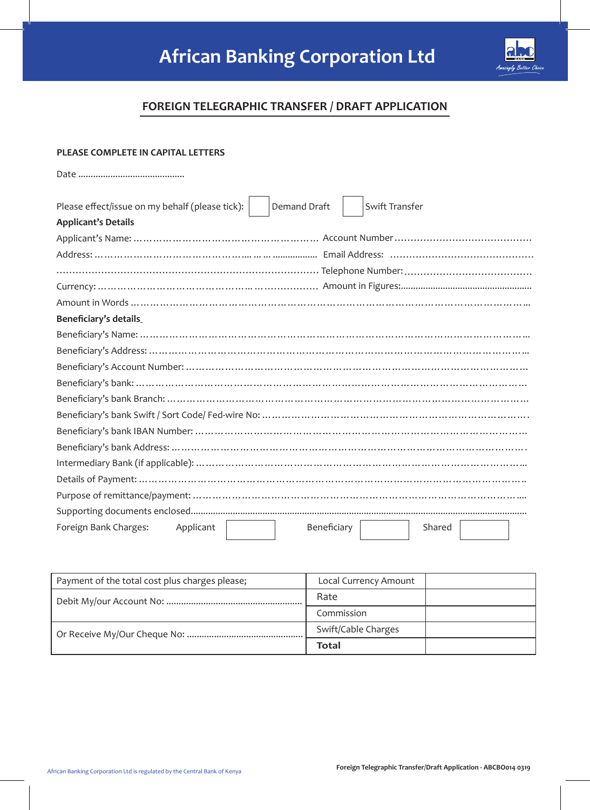

## **FOREIGN TELEGRAPHIC TRANSFER / DRAFT APPLICATION**

|  |  |  | <b>PLEASE COMPLETE IN CAPITAL LETTERS</b> |  |
|--|--|--|-------------------------------------------|--|
|--|--|--|-------------------------------------------|--|

| Please effect/issue on my behalf (please tick):<br>Demand Draft<br>Swift Transfer |  |  |  |  |  |
|-----------------------------------------------------------------------------------|--|--|--|--|--|
| <b>Applicant's Details</b>                                                        |  |  |  |  |  |
|                                                                                   |  |  |  |  |  |
|                                                                                   |  |  |  |  |  |
|                                                                                   |  |  |  |  |  |
|                                                                                   |  |  |  |  |  |
|                                                                                   |  |  |  |  |  |
| <b>Beneficiary's details</b>                                                      |  |  |  |  |  |
|                                                                                   |  |  |  |  |  |
|                                                                                   |  |  |  |  |  |
|                                                                                   |  |  |  |  |  |
|                                                                                   |  |  |  |  |  |
|                                                                                   |  |  |  |  |  |
|                                                                                   |  |  |  |  |  |
|                                                                                   |  |  |  |  |  |
|                                                                                   |  |  |  |  |  |
|                                                                                   |  |  |  |  |  |
|                                                                                   |  |  |  |  |  |
|                                                                                   |  |  |  |  |  |
|                                                                                   |  |  |  |  |  |
| Foreign Bank Charges:<br>Beneficiary<br>Applicant<br>Shared                       |  |  |  |  |  |

| Payment of the total cost plus charges please; | Local Currency Amount |  |
|------------------------------------------------|-----------------------|--|
|                                                | Rate                  |  |
|                                                | Commission            |  |
|                                                | Swift/Cable Charges   |  |
|                                                | Total                 |  |